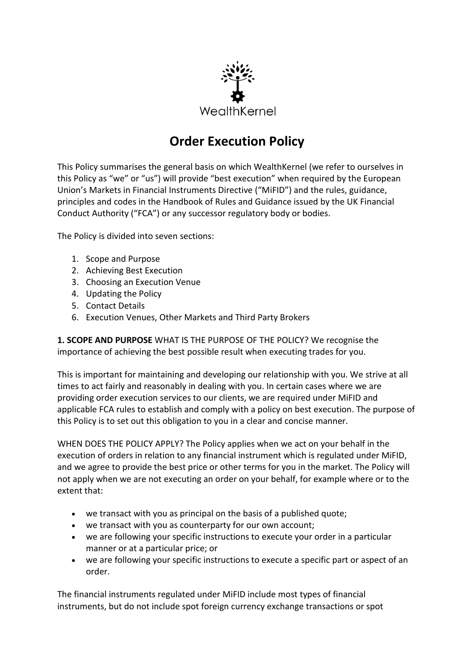

# **Order Execution Policy**

This Policy summarises the general basis on which WealthKernel (we refer to ourselves in this Policy as "we" or "us") will provide "best execution" when required by the European Union's Markets in Financial Instruments Directive ("MiFID") and the rules, guidance, principles and codes in the Handbook of Rules and Guidance issued by the UK Financial Conduct Authority ("FCA") or any successor regulatory body or bodies.

The Policy is divided into seven sections:

- 1. Scope and Purpose
- 2. Achieving Best Execution
- 3. Choosing an Execution Venue
- 4. Updating the Policy
- 5. Contact Details
- 6. Execution Venues, Other Markets and Third Party Brokers

**1. SCOPE AND PURPOSE** WHAT IS THE PURPOSE OF THE POLICY? We recognise the importance of achieving the best possible result when executing trades for you.

This is important for maintaining and developing our relationship with you. We strive at all times to act fairly and reasonably in dealing with you. In certain cases where we are providing order execution services to our clients, we are required under MiFID and applicable FCA rules to establish and comply with a policy on best execution. The purpose of this Policy is to set out this obligation to you in a clear and concise manner.

WHEN DOES THE POLICY APPLY? The Policy applies when we act on your behalf in the execution of orders in relation to any financial instrument which is regulated under MiFID, and we agree to provide the best price or other terms for you in the market. The Policy will not apply when we are not executing an order on your behalf, for example where or to the extent that:

- we transact with you as principal on the basis of a published quote;
- we transact with you as counterparty for our own account;
- we are following your specific instructions to execute your order in a particular manner or at a particular price; or
- we are following your specific instructions to execute a specific part or aspect of an order.

The financial instruments regulated under MiFID include most types of financial instruments, but do not include spot foreign currency exchange transactions or spot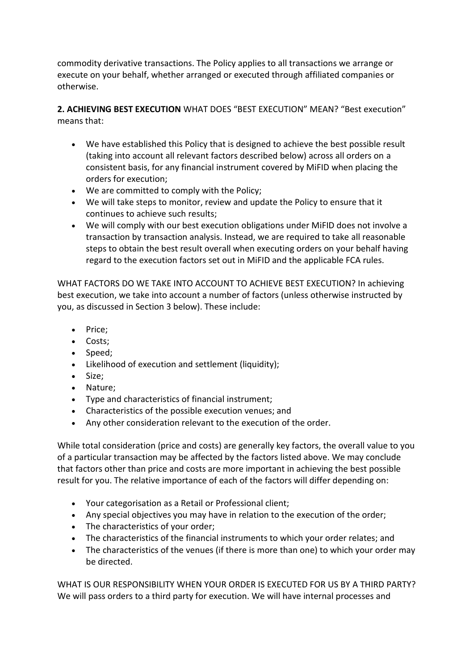commodity derivative transactions. The Policy applies to all transactions we arrange or execute on your behalf, whether arranged or executed through affiliated companies or otherwise.

**2. ACHIEVING BEST EXECUTION** WHAT DOES "BEST EXECUTION" MEAN? "Best execution" means that:

- We have established this Policy that is designed to achieve the best possible result (taking into account all relevant factors described below) across all orders on a consistent basis, for any financial instrument covered by MiFID when placing the orders for execution;
- We are committed to comply with the Policy;
- We will take steps to monitor, review and update the Policy to ensure that it continues to achieve such results;
- We will comply with our best execution obligations under MiFID does not involve a transaction by transaction analysis. Instead, we are required to take all reasonable steps to obtain the best result overall when executing orders on your behalf having regard to the execution factors set out in MiFID and the applicable FCA rules.

WHAT FACTORS DO WE TAKE INTO ACCOUNT TO ACHIEVE BEST EXECUTION? In achieving best execution, we take into account a number of factors (unless otherwise instructed by you, as discussed in Section 3 below). These include:

- Price;
- Costs;
- Speed;
- Likelihood of execution and settlement (liquidity);
- Size;
- Nature;
- Type and characteristics of financial instrument;
- Characteristics of the possible execution venues; and
- Any other consideration relevant to the execution of the order.

While total consideration (price and costs) are generally key factors, the overall value to you of a particular transaction may be affected by the factors listed above. We may conclude that factors other than price and costs are more important in achieving the best possible result for you. The relative importance of each of the factors will differ depending on:

- Your categorisation as a Retail or Professional client;
- Any special objectives you may have in relation to the execution of the order;
- The characteristics of your order;
- The characteristics of the financial instruments to which your order relates; and
- The characteristics of the venues (if there is more than one) to which your order may be directed.

WHAT IS OUR RESPONSIBILITY WHEN YOUR ORDER IS EXECUTED FOR US BY A THIRD PARTY? We will pass orders to a third party for execution. We will have internal processes and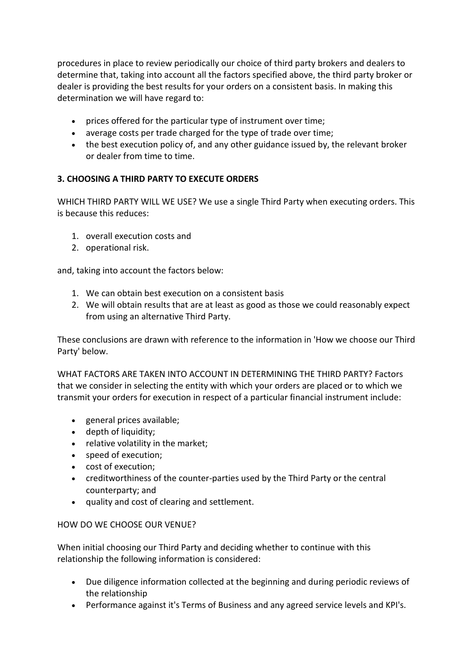procedures in place to review periodically our choice of third party brokers and dealers to determine that, taking into account all the factors specified above, the third party broker or dealer is providing the best results for your orders on a consistent basis. In making this determination we will have regard to:

- prices offered for the particular type of instrument over time;
- average costs per trade charged for the type of trade over time;
- the best execution policy of, and any other guidance issued by, the relevant broker or dealer from time to time.

## **3. CHOOSING A THIRD PARTY TO EXECUTE ORDERS**

WHICH THIRD PARTY WILL WE USE? We use a single Third Party when executing orders. This is because this reduces:

- 1. overall execution costs and
- 2. operational risk.

and, taking into account the factors below:

- 1. We can obtain best execution on a consistent basis
- 2. We will obtain results that are at least as good as those we could reasonably expect from using an alternative Third Party.

These conclusions are drawn with reference to the information in 'How we choose our Third Party' below.

WHAT FACTORS ARE TAKEN INTO ACCOUNT IN DETERMINING THE THIRD PARTY? Factors that we consider in selecting the entity with which your orders are placed or to which we transmit your orders for execution in respect of a particular financial instrument include:

- general prices available;
- depth of liquidity;
- relative volatility in the market;
- speed of execution;
- cost of execution;
- creditworthiness of the counter-parties used by the Third Party or the central counterparty; and
- quality and cost of clearing and settlement.

## HOW DO WE CHOOSE OUR VENUE?

When initial choosing our Third Party and deciding whether to continue with this relationship the following information is considered:

- Due diligence information collected at the beginning and during periodic reviews of the relationship
- Performance against it's Terms of Business and any agreed service levels and KPI's.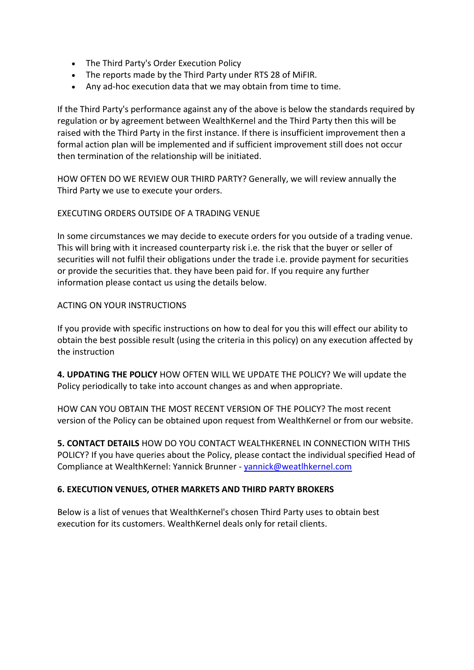- The Third Party's Order Execution Policy
- The reports made by the Third Party under RTS 28 of MiFIR.
- Any ad-hoc execution data that we may obtain from time to time.

If the Third Party's performance against any of the above is below the standards required by regulation or by agreement between WealthKernel and the Third Party then this will be raised with the Third Party in the first instance. If there is insufficient improvement then a formal action plan will be implemented and if sufficient improvement still does not occur then termination of the relationship will be initiated.

HOW OFTEN DO WE REVIEW OUR THIRD PARTY? Generally, we will review annually the Third Party we use to execute your orders.

#### EXECUTING ORDERS OUTSIDE OF A TRADING VENUE

In some circumstances we may decide to execute orders for you outside of a trading venue. This will bring with it increased counterparty risk i.e. the risk that the buyer or seller of securities will not fulfil their obligations under the trade i.e. provide payment for securities or provide the securities that. they have been paid for. If you require any further information please contact us using the details below.

#### ACTING ON YOUR INSTRUCTIONS

If you provide with specific instructions on how to deal for you this will effect our ability to obtain the best possible result (using the criteria in this policy) on any execution affected by the instruction

**4. UPDATING THE POLICY** HOW OFTEN WILL WE UPDATE THE POLICY? We will update the Policy periodically to take into account changes as and when appropriate.

HOW CAN YOU OBTAIN THE MOST RECENT VERSION OF THE POLICY? The most recent version of the Policy can be obtained upon request from WealthKernel or from our website.

**5. CONTACT DETAILS** HOW DO YOU CONTACT WEALTHKERNEL IN CONNECTION WITH THIS POLICY? If you have queries about the Policy, please contact the individual specified Head of Compliance at WealthKernel: Yannick Brunner - [yannick@weatlhkernel.com](mailto:yannick@weatlhkernel.com)

### **6. EXECUTION VENUES, OTHER MARKETS AND THIRD PARTY BROKERS**

Below is a list of venues that WealthKernel's chosen Third Party uses to obtain best execution for its customers. WealthKernel deals only for retail clients.